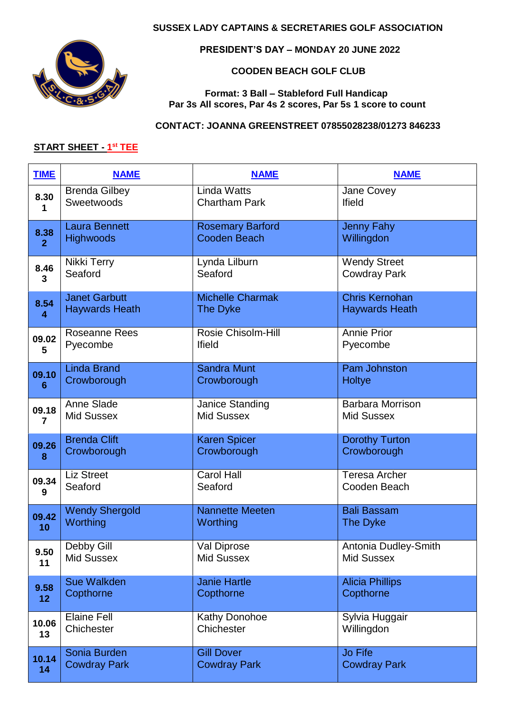### **SUSSEX LADY CAPTAINS & SECRETARIES GOLF ASSOCIATION**



 **PRESIDENT'S DAY – MONDAY 20 JUNE 2022**

### **COODEN BEACH GOLF CLUB**

#### **Format: 3 Ball – Stableford Full Handicap Par 3s All scores, Par 4s 2 scores, Par 5s 1 score to count**

### **CONTACT: JOANNA GREENSTREET 07855028238/01273 846233**

#### **START SHEET - 1 st TEE**

| <b>TIME</b>     | <b>NAME</b>           | <b>NAME</b>             | <b>NAME</b>             |
|-----------------|-----------------------|-------------------------|-------------------------|
| 8.30            | <b>Brenda Gilbey</b>  | <b>Linda Watts</b>      | Jane Covey              |
| 1               | Sweetwoods            | <b>Chartham Park</b>    | <b>Ifield</b>           |
| 8.38            | <b>Laura Bennett</b>  | <b>Rosemary Barford</b> | <b>Jenny Fahy</b>       |
| $\overline{2}$  | <b>Highwoods</b>      | <b>Cooden Beach</b>     | Willingdon              |
| 8.46            | Nikki Terry           | Lynda Lilburn           | <b>Wendy Street</b>     |
| 3               | Seaford               | Seaford                 | <b>Cowdray Park</b>     |
| 8.54            | <b>Janet Garbutt</b>  | <b>Michelle Charmak</b> | <b>Chris Kernohan</b>   |
| 4               | <b>Haywards Heath</b> | The Dyke                | <b>Haywards Heath</b>   |
| 09.02           | <b>Roseanne Rees</b>  | Rosie Chisolm-Hill      | <b>Annie Prior</b>      |
| 5               | Pyecombe              | <b>Ifield</b>           | Pyecombe                |
| 09.10           | <b>Linda Brand</b>    | <b>Sandra Munt</b>      | <b>Pam Johnston</b>     |
| 6               | Crowborough           | Crowborough             | Holtye                  |
| 09.18           | Anne Slade            | Janice Standing         | <b>Barbara Morrison</b> |
| 7               | <b>Mid Sussex</b>     | <b>Mid Sussex</b>       | <b>Mid Sussex</b>       |
| 09.26           | <b>Brenda Clift</b>   | <b>Karen Spicer</b>     | <b>Dorothy Turton</b>   |
| 8               | Crowborough           | Crowborough             | Crowborough             |
| 09.34           | <b>Liz Street</b>     | <b>Carol Hall</b>       | <b>Teresa Archer</b>    |
| 9               | Seaford               | Seaford                 | Cooden Beach            |
| 09.42           | <b>Wendy Shergold</b> | <b>Nannette Meeten</b>  | <b>Bali Bassam</b>      |
| 10              | Worthing              | Worthing                | The Dyke                |
| 9.50            | Debby Gill            | Val Diprose             | Antonia Dudley-Smith    |
| 11              | <b>Mid Sussex</b>     | <b>Mid Sussex</b>       | <b>Mid Sussex</b>       |
| 9.58            | <b>Sue Walkden</b>    | <b>Janie Hartle</b>     | <b>Alicia Phillips</b>  |
| 12 <sub>2</sub> | Copthorne             | Copthorne               | Copthorne               |
| 10.06           | <b>Elaine Fell</b>    | <b>Kathy Donohoe</b>    | Sylvia Huggair          |
| 13              | Chichester            | Chichester              | Willingdon              |
| 10.14           | Sonia Burden          | <b>Gill Dover</b>       | <b>Jo Fife</b>          |
| 14              | <b>Cowdray Park</b>   | <b>Cowdray Park</b>     | <b>Cowdray Park</b>     |